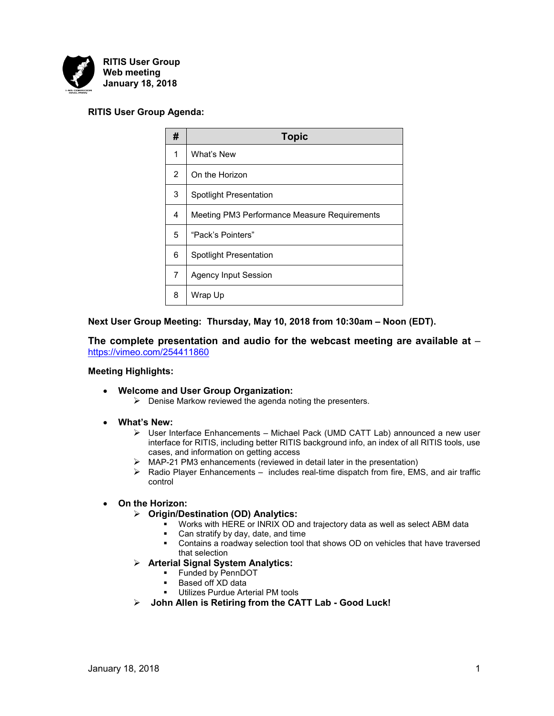

# **RITIS User Group Agenda:**

| #              | <b>Topic</b>                                 |
|----------------|----------------------------------------------|
| 1              | What's New                                   |
| 2              | On the Horizon                               |
| 3              | <b>Spotlight Presentation</b>                |
| 4              | Meeting PM3 Performance Measure Requirements |
| 5              | "Pack's Pointers"                            |
| 6              | <b>Spotlight Presentation</b>                |
| $\overline{7}$ | <b>Agency Input Session</b>                  |
| 8              | Wrap Up                                      |

**Next User Group Meeting: Thursday, May 10, 2018 from 10:30am – Noon (EDT).**

**The complete presentation and audio for the webcast meeting are available at** – <https://vimeo.com/254411860>

### **Meeting Highlights:**

- **Welcome and User Group Organization:**
	- $\triangleright$  Denise Markow reviewed the agenda noting the presenters.
- **What's New:**
	- ➢ User Interface Enhancements Michael Pack (UMD CATT Lab) announced a new user interface for RITIS, including better RITIS background info, an index of all RITIS tools, use cases, and information on getting access
	- ➢ MAP-21 PM3 enhancements (reviewed in detail later in the presentation)
	- $\triangleright$  Radio Player Enhancements includes real-time dispatch from fire, EMS, and air traffic control

### • **On the Horizon:**

- ➢ **Origin/Destination (OD) Analytics:**
	- Works with HERE or INRIX OD and trajectory data as well as select ABM data
	- Can stratify by day, date, and time
	- Contains a roadway selection tool that shows OD on vehicles that have traversed that selection
- ➢ **Arterial Signal System Analytics:**
	- Funded by PennDOT
	- Based off XD data
	- **Utilizes Purdue Arterial PM tools**
- ➢ **John Allen is Retiring from the CATT Lab - Good Luck!**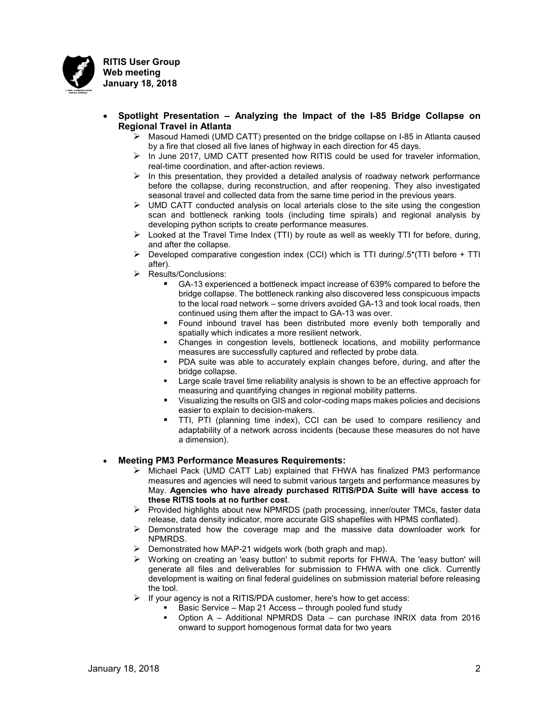

- **Spotlight Presentation – Analyzing the Impact of the I-85 Bridge Collapse on Regional Travel in Atlanta**
	- $\triangleright$  Masoud Hamedi (UMD CATT) presented on the bridge collapse on I-85 in Atlanta caused by a fire that closed all five lanes of highway in each direction for 45 days.
	- $\triangleright$  In June 2017, UMD CATT presented how RITIS could be used for traveler information, real-time coordination, and after-action reviews.
	- $\triangleright$  In this presentation, they provided a detailed analysis of roadway network performance before the collapse, during reconstruction, and after reopening. They also investigated seasonal travel and collected data from the same time period in the previous years.
	- $\triangleright$  UMD CATT conducted analysis on local arterials close to the site using the congestion scan and bottleneck ranking tools (including time spirals) and regional analysis by developing python scripts to create performance measures.
	- $\triangleright$  Looked at the Travel Time Index (TTI) by route as well as weekly TTI for before, during, and after the collapse.
	- $\triangleright$  Developed comparative congestion index (CCI) which is TTI during/.5\*(TTI before + TTI after).
	- ➢ Results/Conclusions:
		- GA-13 experienced a bottleneck impact increase of 639% compared to before the bridge collapse. The bottleneck ranking also discovered less conspicuous impacts to the local road network – some drivers avoided GA-13 and took local roads, then continued using them after the impact to GA-13 was over.
		- Found inbound travel has been distributed more evenly both temporally and spatially which indicates a more resilient network.
		- Changes in congestion levels, bottleneck locations, and mobility performance measures are successfully captured and reflected by probe data.
		- PDA suite was able to accurately explain changes before, during, and after the bridge collapse.
		- Large scale travel time reliability analysis is shown to be an effective approach for measuring and quantifying changes in regional mobility patterns.
		- Visualizing the results on GIS and color-coding maps makes policies and decisions easier to explain to decision-makers.
		- TTI, PTI (planning time index), CCI can be used to compare resiliency and adaptability of a network across incidents (because these measures do not have a dimension).

# • **Meeting PM3 Performance Measures Requirements:**

- ➢ Michael Pack (UMD CATT Lab) explained that FHWA has finalized PM3 performance measures and agencies will need to submit various targets and performance measures by May. **Agencies who have already purchased RITIS/PDA Suite will have access to these RITIS tools at no further cost**.
- $\triangleright$  Provided highlights about new NPMRDS (path processing, inner/outer TMCs, faster data release, data density indicator, more accurate GIS shapefiles with HPMS conflated).
- $\triangleright$  Demonstrated how the coverage map and the massive data downloader work for NPMRDS.
- $\triangleright$  Demonstrated how MAP-21 widgets work (both graph and map).
- ➢ Working on creating an 'easy button' to submit reports for FHWA. The 'easy button' will generate all files and deliverables for submission to FHWA with one click. Currently development is waiting on final federal guidelines on submission material before releasing the tool.
- $\triangleright$  If your agency is not a RITIS/PDA customer, here's how to get access:
	- Basic Service Map 21 Access through pooled fund study
		- Option A Additional NPMRDS Data can purchase INRIX data from 2016 onward to support homogenous format data for two years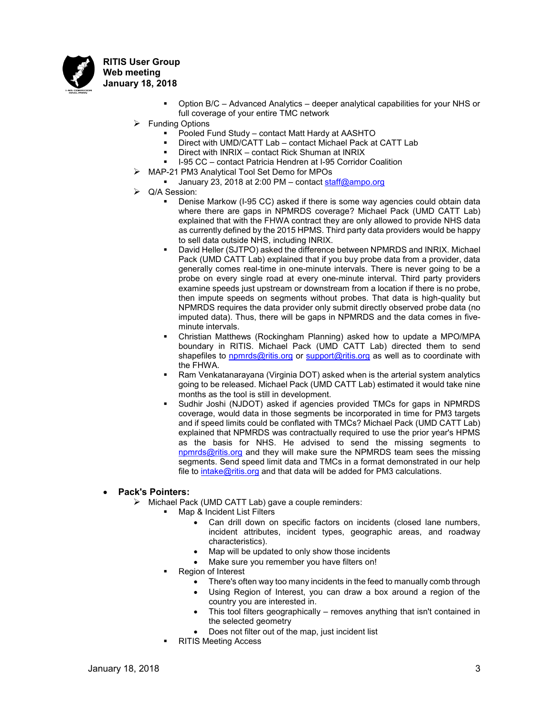

- Option B/C Advanced Analytics deeper analytical capabilities for your NHS or full coverage of your entire TMC network
- $\triangleright$  Funding Options
	- Pooled Fund Study contact Matt Hardy at AASHTO
	- Direct with UMD/CATT Lab contact Michael Pack at CATT Lab
	- Direct with INRIX contact Rick Shuman at INRIX
	- I-95 CC contact Patricia Hendren at I-95 Corridor Coalition
- ➢ MAP-21 PM3 Analytical Tool Set Demo for MPOs
	- **Uanuary 23, 2018 at 2:00 PM contact [staff@ampo.org](mailto:staff@ampo.org)**
- ➢ Q/A Session:
	- Denise Markow (I-95 CC) asked if there is some way agencies could obtain data where there are gaps in NPMRDS coverage? Michael Pack (UMD CATT Lab) explained that with the FHWA contract they are only allowed to provide NHS data as currently defined by the 2015 HPMS. Third party data providers would be happy to sell data outside NHS, including INRIX.
	- David Heller (SJTPO) asked the difference between NPMRDS and INRIX. Michael Pack (UMD CATT Lab) explained that if you buy probe data from a provider, data generally comes real-time in one-minute intervals. There is never going to be a probe on every single road at every one-minute interval. Third party providers examine speeds just upstream or downstream from a location if there is no probe, then impute speeds on segments without probes. That data is high-quality but NPMRDS requires the data provider only submit directly observed probe data (no imputed data). Thus, there will be gaps in NPMRDS and the data comes in fiveminute intervals.
	- Christian Matthews (Rockingham Planning) asked how to update a MPO/MPA boundary in RITIS. Michael Pack (UMD CATT Lab) directed them to send shapefiles to [npmrds@ritis.org](mailto:npmrds@ritis.org) or [support@ritis.org](mailto:support@ritis.org) as well as to coordinate with the FHWA.
	- Ram Venkatanarayana (Virginia DOT) asked when is the arterial system analytics going to be released. Michael Pack (UMD CATT Lab) estimated it would take nine months as the tool is still in development.
	- Sudhir Joshi (NJDOT) asked if agencies provided TMCs for gaps in NPMRDS coverage, would data in those segments be incorporated in time for PM3 targets and if speed limits could be conflated with TMCs? Michael Pack (UMD CATT Lab) explained that NPMRDS was contractually required to use the prior year's HPMS as the basis for NHS. He advised to send the missing segments to [npmrds@ritis.org](mailto:npmrds@ritis.org) and they will make sure the NPMRDS team sees the missing segments. Send speed limit data and TMCs in a format demonstrated in our help file to [intake@ritis.org](mailto:intake@ritis.org) and that data will be added for PM3 calculations.

### • **Pack's Pointers:**

- ➢ Michael Pack (UMD CATT Lab) gave a couple reminders:
	- Map & Incident List Filters
		- Can drill down on specific factors on incidents (closed lane numbers, incident attributes, incident types, geographic areas, and roadway characteristics).
		- Map will be updated to only show those incidents
		- Make sure you remember you have filters on!
		- **Region of Interest** 
			- There's often way too many incidents in the feed to manually comb through
			- Using Region of Interest, you can draw a box around a region of the country you are interested in.
			- This tool filters geographically removes anything that isn't contained in the selected geometry
			- Does not filter out of the map, just incident list
		- **RITIS Meeting Access**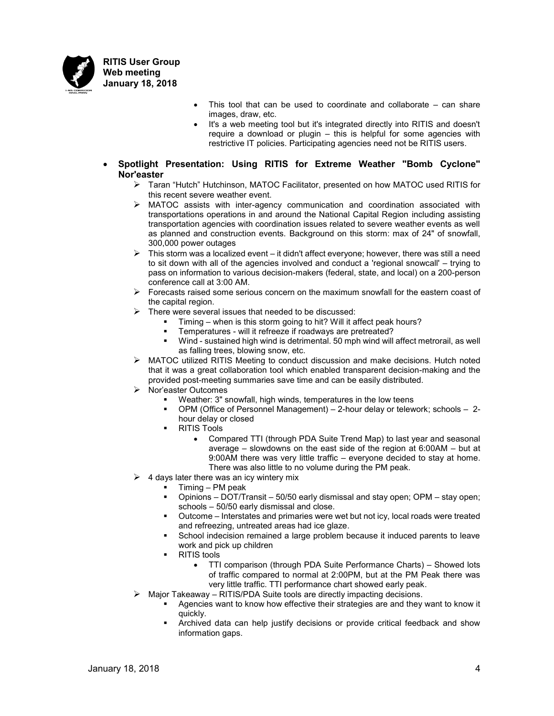

- This tool that can be used to coordinate and collaborate  $-$  can share images, draw, etc.
- It's a web meeting tool but it's integrated directly into RITIS and doesn't require a download or plugin – this is helpful for some agencies with restrictive IT policies. Participating agencies need not be RITIS users.
- **Spotlight Presentation: Using RITIS for Extreme Weather "Bomb Cyclone" Nor'easter** 
	- ➢ Taran "Hutch" Hutchinson, MATOC Facilitator, presented on how MATOC used RITIS for this recent severe weather event.
	- ➢ MATOC assists with inter-agency communication and coordination associated with transportations operations in and around the National Capital Region including assisting transportation agencies with coordination issues related to severe weather events as well as planned and construction events. Background on this storm: max of 24" of snowfall, 300,000 power outages
	- $\triangleright$  This storm was a localized event it didn't affect everyone; however, there was still a need to sit down with all of the agencies involved and conduct a 'regional snowcall' – trying to pass on information to various decision-makers (federal, state, and local) on a 200-person conference call at 3:00 AM.
	- $\triangleright$  Forecasts raised some serious concern on the maximum snowfall for the eastern coast of the capital region.
	- $\triangleright$  There were several issues that needed to be discussed:
		- Timing when is this storm going to hit? Will it affect peak hours?
		- Temperatures will it refreeze if roadways are pretreated?
		- Wind sustained high wind is detrimental. 50 mph wind will affect metrorail, as well as falling trees, blowing snow, etc.
	- ➢ MATOC utilized RITIS Meeting to conduct discussion and make decisions. Hutch noted that it was a great collaboration tool which enabled transparent decision-making and the provided post-meeting summaries save time and can be easily distributed.
	- ➢ Nor'easter Outcomes
		- Weather: 3" snowfall, high winds, temperatures in the low teens
		- OPM (Office of Personnel Management) 2-hour delay or telework; schools 2 hour delay or closed
		- **RITIS Tools** 
			- Compared TTI (through PDA Suite Trend Map) to last year and seasonal average – slowdowns on the east side of the region at 6:00AM – but at 9:00AM there was very little traffic – everyone decided to stay at home. There was also little to no volume during the PM peak.
	- ➢ 4 days later there was an icy wintery mix
		- $Timing PM$  peak
			- Opinions DOT/Transit 50/50 early dismissal and stay open; OPM stay open; schools – 50/50 early dismissal and close.
			- Outcome Interstates and primaries were wet but not icy, local roads were treated and refreezing, untreated areas had ice glaze.
			- School indecision remained a large problem because it induced parents to leave work and pick up children
			- **RITIS tools** 
				- TTI comparison (through PDA Suite Performance Charts) Showed lots of traffic compared to normal at 2:00PM, but at the PM Peak there was very little traffic. TTI performance chart showed early peak.
		- ➢ Major Takeaway RITIS/PDA Suite tools are directly impacting decisions.
			- Agencies want to know how effective their strategies are and they want to know it quickly.
				- Archived data can help justify decisions or provide critical feedback and show information gaps.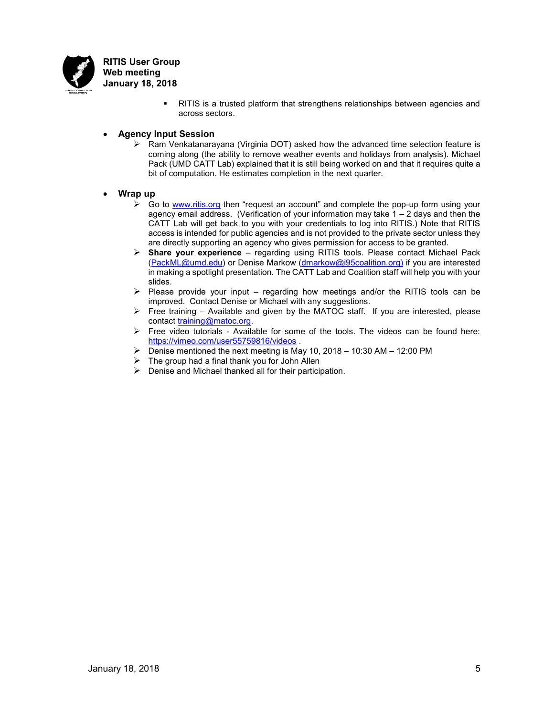

> ▪ RITIS is a trusted platform that strengthens relationships between agencies and across sectors.

### • **Agency Input Session**

 $\triangleright$  Ram Venkatanarayana (Virginia DOT) asked how the advanced time selection feature is coming along (the ability to remove weather events and holidays from analysis). Michael Pack (UMD CATT Lab) explained that it is still being worked on and that it requires quite a bit of computation. He estimates completion in the next quarter.

#### • **Wrap up**

- ➢ Go to [www.ritis.org](http://www.ritis.org/) then "request an account" and complete the pop-up form using your agency email address. (Verification of your information may take  $1 - 2$  days and then the CATT Lab will get back to you with your credentials to log into RITIS.) Note that RITIS access is intended for public agencies and is not provided to the private sector unless they are directly supporting an agency who gives permission for access to be granted.
- ➢ **Share your experience** regarding using RITIS tools. Please contact Michael Pack [\(PackML@umd.edu\)](mailto:PackML@umd.edu) or Denise Markow [\(dmarkow@i95coalition.org\)](mailto:dmarkow@i95coalition.org) if you are interested in making a spotlight presentation. The CATT Lab and Coalition staff will help you with your slides.
- $\triangleright$  Please provide your input regarding how meetings and/or the RITIS tools can be improved. Contact Denise or Michael with any suggestions.
- $\triangleright$  Free training Available and given by the MATOC staff. If you are interested, please contact [training@matoc.org.](mailto:training@matoc.org)
- ➢ Free video tutorials Available for some of the tools. The videos can be found here: <https://vimeo.com/user55759816/videos> .
- $\triangleright$  Denise mentioned the next meeting is May 10, 2018 10:30 AM 12:00 PM
- $\triangleright$  The group had a final thank you for John Allen
- $\triangleright$  Denise and Michael thanked all for their participation.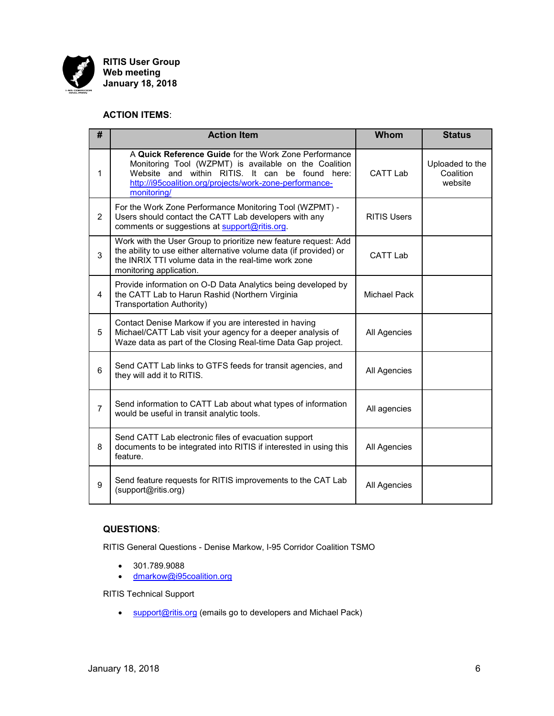

# **ACTION ITEMS**:

| #              | <b>Action Item</b>                                                                                                                                                                                                                          | Whom               | <b>Status</b>                           |
|----------------|---------------------------------------------------------------------------------------------------------------------------------------------------------------------------------------------------------------------------------------------|--------------------|-----------------------------------------|
| 1              | A Quick Reference Guide for the Work Zone Performance<br>Monitoring Tool (WZPMT) is available on the Coalition<br>Website and within RITIS. It can be found here:<br>http://i95coalition.org/projects/work-zone-performance-<br>monitoring/ | <b>CATT Lab</b>    | Uploaded to the<br>Coalition<br>website |
| $\overline{2}$ | For the Work Zone Performance Monitoring Tool (WZPMT) -<br>Users should contact the CATT Lab developers with any<br>comments or suggestions at support@ritis.org.                                                                           | <b>RITIS Users</b> |                                         |
| 3              | Work with the User Group to prioritize new feature request: Add<br>the ability to use either alternative volume data (if provided) or<br>the INRIX TTI volume data in the real-time work zone<br>monitoring application.                    | <b>CATT Lab</b>    |                                         |
| 4              | Provide information on O-D Data Analytics being developed by<br>the CATT Lab to Harun Rashid (Northern Virginia<br>Transportation Authority)                                                                                                | Michael Pack       |                                         |
| 5              | Contact Denise Markow if you are interested in having<br>Michael/CATT Lab visit your agency for a deeper analysis of<br>Waze data as part of the Closing Real-time Data Gap project.                                                        | All Agencies       |                                         |
| 6              | Send CATT Lab links to GTFS feeds for transit agencies, and<br>they will add it to RITIS.                                                                                                                                                   | All Agencies       |                                         |
| $\overline{7}$ | Send information to CATT Lab about what types of information<br>would be useful in transit analytic tools.                                                                                                                                  | All agencies       |                                         |
| 8              | Send CATT Lab electronic files of evacuation support<br>documents to be integrated into RITIS if interested in using this<br>feature.                                                                                                       | All Agencies       |                                         |
| 9              | Send feature requests for RITIS improvements to the CAT Lab<br>(support@ritis.org)                                                                                                                                                          | All Agencies       |                                         |

# **QUESTIONS**:

RITIS General Questions - Denise Markow, I-95 Corridor Coalition TSMO

- 301.789.9088
- [dmarkow@i95coalition.org](mailto:dmarkow@i95coalition.org)

RITIS Technical Support

• [support@ritis.org](mailto:support@ritis.org) (emails go to developers and Michael Pack)